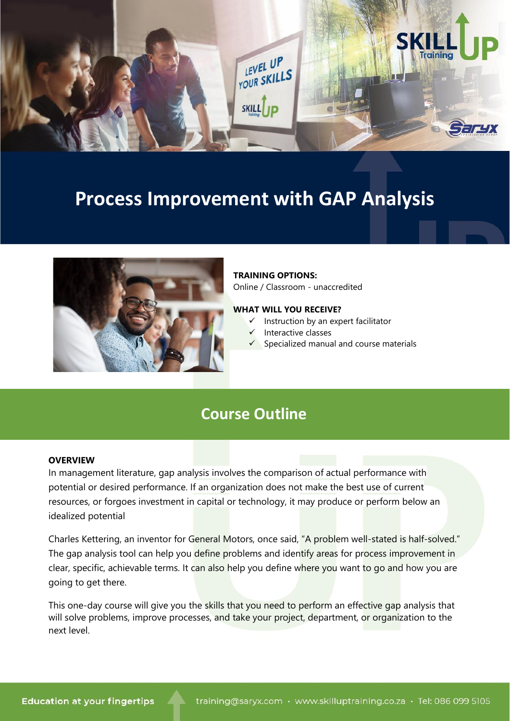

# **Process Improvement with GAP Analysis**



### **TRAINING OPTIONS:**

Online / Classroom - unaccredited

### **WHAT WILL YOU RECEIVE?**

- $\checkmark$  Instruction by an expert facilitator
- ✓ Interactive classes
- Specialized manual and course materials

## **Course Outline**

#### **OVERVIEW**

In management literature, gap analysis involves the comparison of actual performance with potential or desired performance. If an organization does not make the best use of current resources, or forgoes investment in capital or technology, it may produce or perform below an idealized potential

Charles Kettering, an inventor for General Motors, once said, "A problem well-stated is half-solved." The gap analysis tool can help you define problems and identify areas for process improvement in clear, specific, achievable terms. It can also help you define where you want to go and how you are going to get there.

This one-day course will give you the skills that you need to perform an effective gap analysis that will solve problems, improve processes, and take your project, department, or organization to the next level.